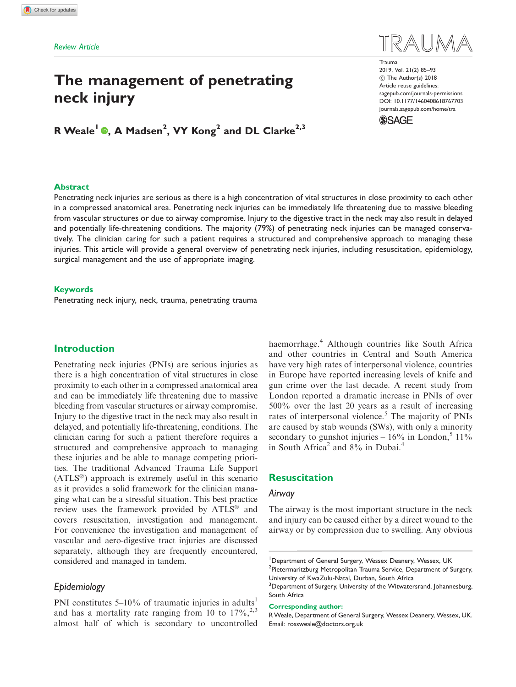# The management of penetrating neck injury

R Weale  $^1$  . A Madsen<sup>2</sup>[,](http://orcid.org/0000-0001-9296-527X) VY Kong<sup>2</sup> and DL Clarke<sup>2,3</sup>



Trauma 2019, Vol. 21(2) 85–93 C The Author(s) 2018 Article reuse guidelines: [sagepub.com/journals-permissions](https://uk.sagepub.com/en-gb/journals-permissions) DOI: [10.1177/1460408618767703](https://doi.org/10.1177/1460408618767703) <journals.sagepub.com/home/tra>



#### Abstract

Penetrating neck injuries are serious as there is a high concentration of vital structures in close proximity to each other in a compressed anatomical area. Penetrating neck injuries can be immediately life threatening due to massive bleeding from vascular structures or due to airway compromise. Injury to the digestive tract in the neck may also result in delayed and potentially life-threatening conditions. The majority (79%) of penetrating neck injuries can be managed conservatively. The clinician caring for such a patient requires a structured and comprehensive approach to managing these injuries. This article will provide a general overview of penetrating neck injuries, including resuscitation, epidemiology, surgical management and the use of appropriate imaging.

#### Keywords

Penetrating neck injury, neck, trauma, penetrating trauma

### Introduction

Penetrating neck injuries (PNIs) are serious injuries as there is a high concentration of vital structures in close proximity to each other in a compressed anatomical area and can be immediately life threatening due to massive bleeding from vascular structures or airway compromise. Injury to the digestive tract in the neck may also result in delayed, and potentially life-threatening, conditions. The clinician caring for such a patient therefore requires a structured and comprehensive approach to managing these injuries and be able to manage competing priorities. The traditional Advanced Trauma Life Support  $(ATLS<sup>®</sup>)$  approach is extremely useful in this scenario as it provides a solid framework for the clinician managing what can be a stressful situation. This best practice review uses the framework provided by ATLS® and covers resuscitation, investigation and management. For convenience the investigation and management of vascular and aero-digestive tract injuries are discussed separately, although they are frequently encountered, considered and managed in tandem.

### Epidemiology

PNI constitutes  $5-10\%$  of traumatic injuries in adults<sup>1</sup> and has a mortality rate ranging from 10 to  $17\%$ ,<sup>2,3</sup> almost half of which is secondary to uncontrolled haemorrhage.<sup>4</sup> Although countries like South Africa and other countries in Central and South America have very high rates of interpersonal violence, countries in Europe have reported increasing levels of knife and gun crime over the last decade. A recent study from London reported a dramatic increase in PNIs of over 500% over the last 20 years as a result of increasing rates of interpersonal violence.<sup>5</sup> The majority of PNIs are caused by stab wounds (SWs), with only a minority secondary to gunshot injuries  $-16\%$  in London,<sup>5</sup> 11% in South Africa<sup>2</sup> and  $8\%$  in Dubai.<sup>4</sup>

### Resuscitation

#### Airway

The airway is the most important structure in the neck and injury can be caused either by a direct wound to the airway or by compression due to swelling. Any obvious

Corresponding author:

<sup>&</sup>lt;sup>1</sup>Department of General Surgery, Wessex Deanery, Wessex, UK <sup>2</sup>Pietermaritzburg Metropolitan Trauma Service, Department of Surgery, University of KwaZulu-Natal, Durban, South Africa

 $^3$ Department of Surgery, University of the Witwatersrand, Johannesburg, South Africa

RWeale, Department of General Surgery, Wessex Deanery, Wessex, UK. Email: rossweale@doctors.org.uk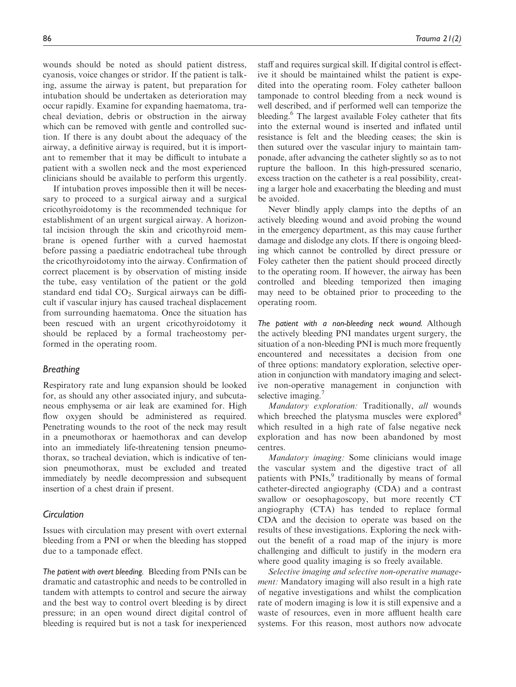wounds should be noted as should patient distress, cyanosis, voice changes or stridor. If the patient is talking, assume the airway is patent, but preparation for intubation should be undertaken as deterioration may occur rapidly. Examine for expanding haematoma, tracheal deviation, debris or obstruction in the airway which can be removed with gentle and controlled suction. If there is any doubt about the adequacy of the airway, a definitive airway is required, but it is important to remember that it may be difficult to intubate a patient with a swollen neck and the most experienced clinicians should be available to perform this urgently.

If intubation proves impossible then it will be necessary to proceed to a surgical airway and a surgical cricothyroidotomy is the recommended technique for establishment of an urgent surgical airway. A horizontal incision through the skin and cricothyroid membrane is opened further with a curved haemostat before passing a paediatric endotracheal tube through the cricothyroidotomy into the airway. Confirmation of correct placement is by observation of misting inside the tube, easy ventilation of the patient or the gold standard end tidal  $CO<sub>2</sub>$ . Surgical airways can be difficult if vascular injury has caused tracheal displacement from surrounding haematoma. Once the situation has been rescued with an urgent cricothyroidotomy it should be replaced by a formal tracheostomy performed in the operating room.

#### Breathing

Respiratory rate and lung expansion should be looked for, as should any other associated injury, and subcutaneous emphysema or air leak are examined for. High flow oxygen should be administered as required. Penetrating wounds to the root of the neck may result in a pneumothorax or haemothorax and can develop into an immediately life-threatening tension pneumothorax, so tracheal deviation, which is indicative of tension pneumothorax, must be excluded and treated immediately by needle decompression and subsequent insertion of a chest drain if present.

#### Circulation

Issues with circulation may present with overt external bleeding from a PNI or when the bleeding has stopped due to a tamponade effect.

The patient with overt bleeding. Bleeding from PNIs can be dramatic and catastrophic and needs to be controlled in tandem with attempts to control and secure the airway and the best way to control overt bleeding is by direct pressure; in an open wound direct digital control of bleeding is required but is not a task for inexperienced staff and requires surgical skill. If digital control is effective it should be maintained whilst the patient is expedited into the operating room. Foley catheter balloon tamponade to control bleeding from a neck wound is well described, and if performed well can temporize the bleeding.<sup>6</sup> The largest available Foley catheter that fits into the external wound is inserted and inflated until resistance is felt and the bleeding ceases; the skin is then sutured over the vascular injury to maintain tamponade, after advancing the catheter slightly so as to not rupture the balloon. In this high-pressured scenario, excess traction on the catheter is a real possibility, creating a larger hole and exacerbating the bleeding and must be avoided.

Never blindly apply clamps into the depths of an actively bleeding wound and avoid probing the wound in the emergency department, as this may cause further damage and dislodge any clots. If there is ongoing bleeding which cannot be controlled by direct pressure or Foley catheter then the patient should proceed directly to the operating room. If however, the airway has been controlled and bleeding temporized then imaging may need to be obtained prior to proceeding to the operating room.

The patient with a non-bleeding neck wound. Although the actively bleeding PNI mandates urgent surgery, the situation of a non-bleeding PNI is much more frequently encountered and necessitates a decision from one of three options: mandatory exploration, selective operation in conjunction with mandatory imaging and selective non-operative management in conjunction with selective imaging.

Mandatory exploration: Traditionally, all wounds which breeched the platysma muscles were explored<sup>8</sup> which resulted in a high rate of false negative neck exploration and has now been abandoned by most centres.

Mandatory imaging: Some clinicians would image the vascular system and the digestive tract of all patients with PNIs,<sup>9</sup> traditionally by means of formal catheter-directed angiography (CDA) and a contrast swallow or oesophagoscopy, but more recently CT angiography (CTA) has tended to replace formal CDA and the decision to operate was based on the results of these investigations. Exploring the neck without the benefit of a road map of the injury is more challenging and difficult to justify in the modern era where good quality imaging is so freely available.

Selective imaging and selective non-operative management: Mandatory imaging will also result in a high rate of negative investigations and whilst the complication rate of modern imaging is low it is still expensive and a waste of resources, even in more affluent health care systems. For this reason, most authors now advocate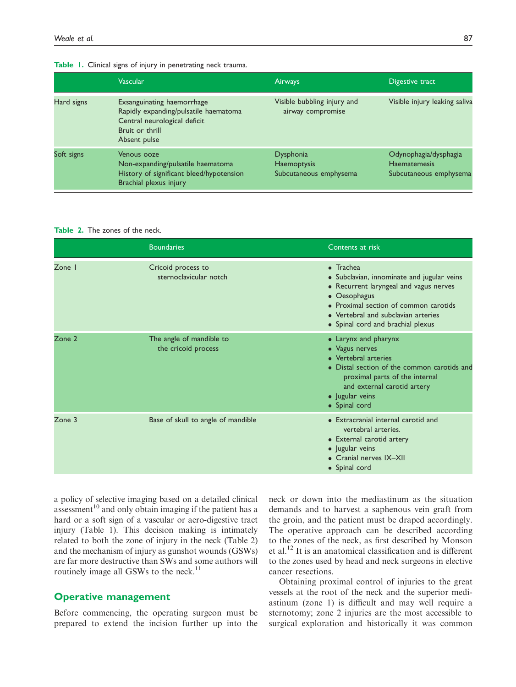#### Table 1. Clinical signs of injury in penetrating neck trauma.

|            | Vascular                                                                                                                               | <b>Airways</b>                                     | Digestive tract                                                        |
|------------|----------------------------------------------------------------------------------------------------------------------------------------|----------------------------------------------------|------------------------------------------------------------------------|
| Hard signs | Exsanguinating haemorrhage<br>Rapidly expanding/pulsatile haematoma<br>Central neurological deficit<br>Bruit or thrill<br>Absent pulse | Visible bubbling injury and<br>airway compromise   | Visible injury leaking saliva                                          |
| Soft signs | Venous ooze<br>Non-expanding/pulsatile haematoma<br>History of significant bleed/hypotension<br>Brachial plexus injury                 | Dysphonia<br>Haemoptysis<br>Subcutaneous emphysema | Odynophagia/dysphagia<br><b>Haematemesis</b><br>Subcutaneous emphysema |

#### Table 2. The zones of the neck.

|        | <b>Boundaries</b>                               | Contents at risk                                                                                                                                                                                                                               |
|--------|-------------------------------------------------|------------------------------------------------------------------------------------------------------------------------------------------------------------------------------------------------------------------------------------------------|
| Zone I | Cricoid process to<br>sternoclavicular notch    | $\bullet$ Trachea<br>• Subclavian, innominate and jugular veins<br>• Recurrent laryngeal and vagus nerves<br>• Oesophagus<br>• Proximal section of common carotids<br>• Vertebral and subclavian arteries<br>• Spinal cord and brachial plexus |
| Zone 2 | The angle of mandible to<br>the cricoid process | • Larynx and pharynx<br>• Vagus nerves<br>• Vertebral arteries<br>• Distal section of the common carotids and<br>proximal parts of the internal<br>and external carotid artery<br>• Jugular veins<br>• Spinal cord                             |
| Zone 3 | Base of skull to angle of mandible              | • Extracranial internal carotid and<br>vertebral arteries.<br>• External carotid artery<br>• Jugular veins<br>• Cranial nerves IX-XII<br>• Spinal cord                                                                                         |

a policy of selective imaging based on a detailed clinical assessment<sup>10</sup> and only obtain imaging if the patient has a hard or a soft sign of a vascular or aero-digestive tract injury (Table 1). This decision making is intimately related to both the zone of injury in the neck (Table 2) and the mechanism of injury as gunshot wounds (GSWs) are far more destructive than SWs and some authors will routinely image all GSWs to the neck.<sup>11</sup>

### Operative management

Before commencing, the operating surgeon must be prepared to extend the incision further up into the neck or down into the mediastinum as the situation demands and to harvest a saphenous vein graft from the groin, and the patient must be draped accordingly. The operative approach can be described according to the zones of the neck, as first described by Monson et al.<sup>12</sup> It is an anatomical classification and is different to the zones used by head and neck surgeons in elective cancer resections.

Obtaining proximal control of injuries to the great vessels at the root of the neck and the superior mediastinum (zone 1) is difficult and may well require a sternotomy; zone 2 injuries are the most accessible to surgical exploration and historically it was common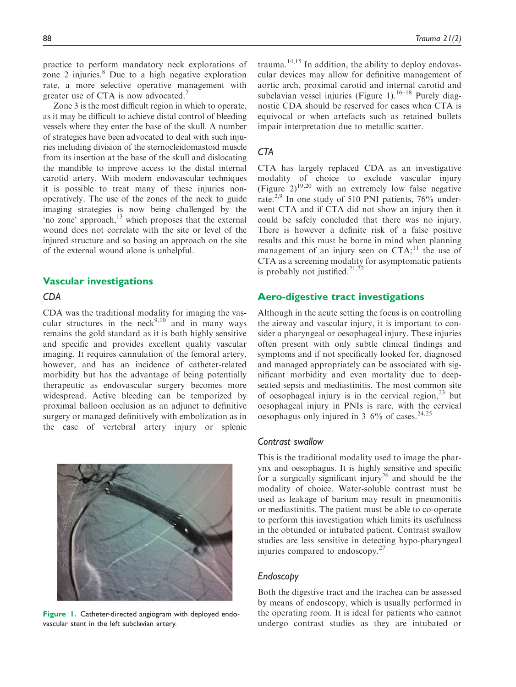practice to perform mandatory neck explorations of zone 2 injuries. $8\text{ Due to a high negative exploration}$ rate, a more selective operative management with

greater use of CTA is now advocated.<sup>2</sup> Zone 3 is the most difficult region in which to operate, as it may be difficult to achieve distal control of bleeding vessels where they enter the base of the skull. A number of strategies have been advocated to deal with such injuries including division of the sternocleidomastoid muscle from its insertion at the base of the skull and dislocating the mandible to improve access to the distal internal carotid artery. With modern endovascular techniques it is possible to treat many of these injuries nonoperatively. The use of the zones of the neck to guide imaging strategies is now being challenged by the 'no zone' approach,13 which proposes that the external wound does not correlate with the site or level of the injured structure and so basing an approach on the site of the external wound alone is unhelpful.

#### Vascular investigations

### CDA

CDA was the traditional modality for imaging the vascular structures in the neck $9,10$  and in many ways remains the gold standard as it is both highly sensitive and specific and provides excellent quality vascular imaging. It requires cannulation of the femoral artery, however, and has an incidence of catheter-related morbidity but has the advantage of being potentially therapeutic as endovascular surgery becomes more widespread. Active bleeding can be temporized by proximal balloon occlusion as an adjunct to definitive surgery or managed definitively with embolization as in the case of vertebral artery injury or splenic



#### CTA

CTA has largely replaced CDA as an investigative modality of choice to exclude vascular injury (Figure  $2)^{19,20}$  with an extremely low false negative rate.<sup>2,9</sup> In one study of 510 PNI patients, 76% underwent CTA and if CTA did not show an injury then it could be safely concluded that there was no injury. There is however a definite risk of a false positive results and this must be borne in mind when planning management of an injury seen on  $CTA$ ;<sup>11</sup> the use of CTA as a screening modality for asymptomatic patients is probably not justified.<sup>21,22</sup>

### Aero-digestive tract investigations

Although in the acute setting the focus is on controlling the airway and vascular injury, it is important to consider a pharyngeal or oesophageal injury. These injuries often present with only subtle clinical findings and symptoms and if not specifically looked for, diagnosed and managed appropriately can be associated with significant morbidity and even mortality due to deepseated sepsis and mediastinitis. The most common site of oesophageal injury is in the cervical region, $^{23}$  but oesophageal injury in PNIs is rare, with the cervical oesophagus only injured in  $3-6\%$  of cases.<sup>24,25</sup>

#### Contrast swallow

This is the traditional modality used to image the pharynx and oesophagus. It is highly sensitive and specific for a surgically significant injury<sup>26</sup> and should be the modality of choice. Water-soluble contrast must be used as leakage of barium may result in pneumonitis or mediastinitis. The patient must be able to co-operate to perform this investigation which limits its usefulness in the obtunded or intubated patient. Contrast swallow studies are less sensitive in detecting hypo-pharyngeal injuries compared to endoscopy.<sup>27</sup>

#### Endoscopy

Both the digestive tract and the trachea can be assessed by means of endoscopy, which is usually performed in the operating room. It is ideal for patients who cannot undergo contrast studies as they are intubated or



Figure 1. Catheter-directed angiogram with deployed endovascular stent in the left subclavian artery.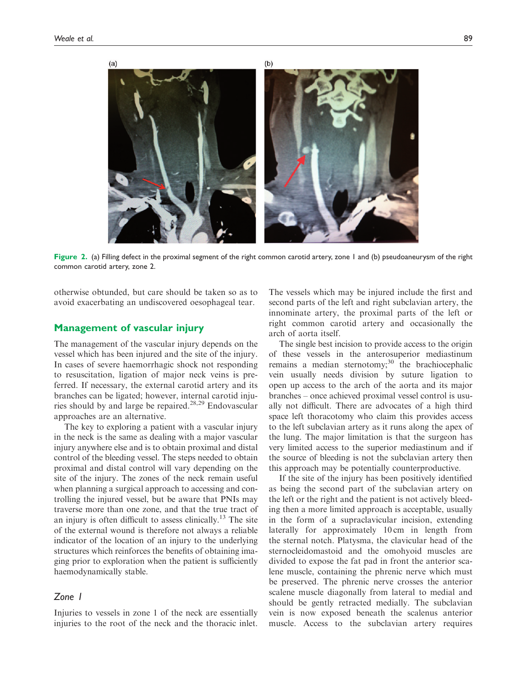

Figure 2. (a) Filling defect in the proximal segment of the right common carotid artery, zone 1 and (b) pseudoaneurysm of the right common carotid artery, zone 2.

otherwise obtunded, but care should be taken so as to avoid exacerbating an undiscovered oesophageal tear.

### Management of vascular injury

The management of the vascular injury depends on the vessel which has been injured and the site of the injury. In cases of severe haemorrhagic shock not responding to resuscitation, ligation of major neck veins is preferred. If necessary, the external carotid artery and its branches can be ligated; however, internal carotid injuries should by and large be repaired.<sup>28,29</sup> Endovascular approaches are an alternative.

The key to exploring a patient with a vascular injury in the neck is the same as dealing with a major vascular injury anywhere else and is to obtain proximal and distal control of the bleeding vessel. The steps needed to obtain proximal and distal control will vary depending on the site of the injury. The zones of the neck remain useful when planning a surgical approach to accessing and controlling the injured vessel, but be aware that PNIs may traverse more than one zone, and that the true tract of an injury is often difficult to assess clinically.<sup>13</sup> The site of the external wound is therefore not always a reliable indicator of the location of an injury to the underlying structures which reinforces the benefits of obtaining imaging prior to exploration when the patient is sufficiently haemodynamically stable.

### Zone 1

Injuries to vessels in zone 1 of the neck are essentially injuries to the root of the neck and the thoracic inlet. The vessels which may be injured include the first and second parts of the left and right subclavian artery, the innominate artery, the proximal parts of the left or right common carotid artery and occasionally the arch of aorta itself.

The single best incision to provide access to the origin of these vessels in the anterosuperior mediastinum remains a median sternotomy; $30$  the brachiocephalic vein usually needs division by suture ligation to open up access to the arch of the aorta and its major branches – once achieved proximal vessel control is usually not difficult. There are advocates of a high third space left thoracotomy who claim this provides access to the left subclavian artery as it runs along the apex of the lung. The major limitation is that the surgeon has very limited access to the superior mediastinum and if the source of bleeding is not the subclavian artery then this approach may be potentially counterproductive.

If the site of the injury has been positively identified as being the second part of the subclavian artery on the left or the right and the patient is not actively bleeding then a more limited approach is acceptable, usually in the form of a supraclavicular incision, extending laterally for approximately 10 cm in length from the sternal notch. Platysma, the clavicular head of the sternocleidomastoid and the omohyoid muscles are divided to expose the fat pad in front the anterior scalene muscle, containing the phrenic nerve which must be preserved. The phrenic nerve crosses the anterior scalene muscle diagonally from lateral to medial and should be gently retracted medially. The subclavian vein is now exposed beneath the scalenus anterior muscle. Access to the subclavian artery requires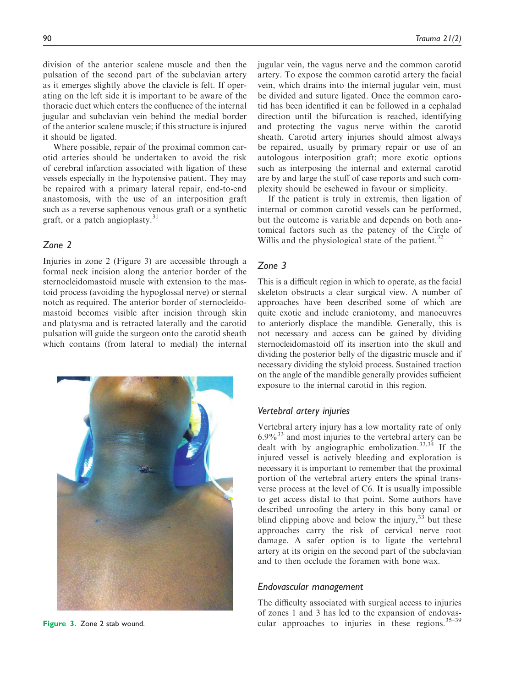division of the anterior scalene muscle and then the pulsation of the second part of the subclavian artery as it emerges slightly above the clavicle is felt. If operating on the left side it is important to be aware of the thoracic duct which enters the confluence of the internal jugular and subclavian vein behind the medial border of the anterior scalene muscle; if this structure is injured it should be ligated.

Where possible, repair of the proximal common carotid arteries should be undertaken to avoid the risk of cerebral infarction associated with ligation of these vessels especially in the hypotensive patient. They may be repaired with a primary lateral repair, end-to-end anastomosis, with the use of an interposition graft such as a reverse saphenous venous graft or a synthetic graft, or a patch angioplasty.<sup>31</sup>

### Zone 2

Injuries in zone 2 (Figure 3) are accessible through a formal neck incision along the anterior border of the sternocleidomastoid muscle with extension to the mastoid process (avoiding the hypoglossal nerve) or sternal notch as required. The anterior border of sternocleidomastoid becomes visible after incision through skin and platysma and is retracted laterally and the carotid pulsation will guide the surgeon onto the carotid sheath which contains (from lateral to medial) the internal



jugular vein, the vagus nerve and the common carotid artery. To expose the common carotid artery the facial vein, which drains into the internal jugular vein, must be divided and suture ligated. Once the common carotid has been identified it can be followed in a cephalad direction until the bifurcation is reached, identifying and protecting the vagus nerve within the carotid sheath. Carotid artery injuries should almost always be repaired, usually by primary repair or use of an autologous interposition graft; more exotic options such as interposing the internal and external carotid are by and large the stuff of case reports and such complexity should be eschewed in favour or simplicity.

If the patient is truly in extremis, then ligation of internal or common carotid vessels can be performed, but the outcome is variable and depends on both anatomical factors such as the patency of the Circle of Willis and the physiological state of the patient.<sup>32</sup>

### Zone 3

This is a difficult region in which to operate, as the facial skeleton obstructs a clear surgical view. A number of approaches have been described some of which are quite exotic and include craniotomy, and manoeuvres to anteriorly displace the mandible. Generally, this is not necessary and access can be gained by dividing sternocleidomastoid off its insertion into the skull and dividing the posterior belly of the digastric muscle and if necessary dividing the styloid process. Sustained traction on the angle of the mandible generally provides sufficient exposure to the internal carotid in this region.

#### Vertebral artery injuries

Vertebral artery injury has a low mortality rate of only  $6.9\%$ <sup>33</sup> and most injuries to the vertebral artery can be dealt with by angiographic embolization.33,34 If the injured vessel is actively bleeding and exploration is necessary it is important to remember that the proximal portion of the vertebral artery enters the spinal transverse process at the level of C6. It is usually impossible to get access distal to that point. Some authors have described unroofing the artery in this bony canal or blind clipping above and below the injury,  $33$  but these approaches carry the risk of cervical nerve root damage. A safer option is to ligate the vertebral artery at its origin on the second part of the subclavian and to then occlude the foramen with bone wax.

#### Endovascular management

The difficulty associated with surgical access to injuries of zones 1 and 3 has led to the expansion of endovas-Figure 3. Zone 2 stab wound.  $\frac{35-39}{2}$  cular approaches to injuries in these regions.<sup>35-39</sup>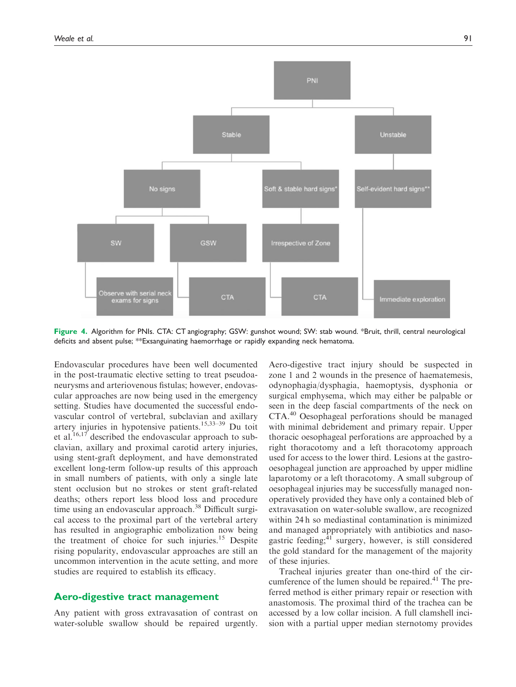

Figure 4. Algorithm for PNIs. CTA: CT angiography; GSW: gunshot wound; SW: stab wound. \*Bruit, thrill, central neurological deficits and absent pulse; \*\*Exsanguinating haemorrhage or rapidly expanding neck hematoma.

Endovascular procedures have been well documented in the post-traumatic elective setting to treat pseudoaneurysms and arteriovenous fistulas; however, endovascular approaches are now being used in the emergency setting. Studies have documented the successful endovascular control of vertebral, subclavian and axillary artery injuries in hypotensive patients.15,33–39 Du toit et al.<sup>16,17</sup> described the endovascular approach to subclavian, axillary and proximal carotid artery injuries, using stent-graft deployment, and have demonstrated excellent long-term follow-up results of this approach in small numbers of patients, with only a single late stent occlusion but no strokes or stent graft-related deaths; others report less blood loss and procedure time using an endovascular approach.<sup>38</sup> Difficult surgical access to the proximal part of the vertebral artery has resulted in angiographic embolization now being the treatment of choice for such injuries.<sup>15</sup> Despite rising popularity, endovascular approaches are still an uncommon intervention in the acute setting, and more studies are required to establish its efficacy.

#### Aero-digestive tract management

Any patient with gross extravasation of contrast on water-soluble swallow should be repaired urgently. Aero-digestive tract injury should be suspected in zone 1 and 2 wounds in the presence of haematemesis, odynophagia/dysphagia, haemoptysis, dysphonia or surgical emphysema, which may either be palpable or seen in the deep fascial compartments of the neck on CTA.<sup>40</sup> Oesophageal perforations should be managed with minimal debridement and primary repair. Upper thoracic oesophageal perforations are approached by a right thoracotomy and a left thoracotomy approach used for access to the lower third. Lesions at the gastrooesophageal junction are approached by upper midline laparotomy or a left thoracotomy. A small subgroup of oesophageal injuries may be successfully managed nonoperatively provided they have only a contained bleb of extravasation on water-soluble swallow, are recognized within 24 h so mediastinal contamination is minimized and managed appropriately with antibiotics and nasogastric feeding;<sup>41</sup> surgery, however, is still considered the gold standard for the management of the majority of these injuries.

Tracheal injuries greater than one-third of the circumference of the lumen should be repaired. $41$  The preferred method is either primary repair or resection with anastomosis. The proximal third of the trachea can be accessed by a low collar incision. A full clamshell incision with a partial upper median sternotomy provides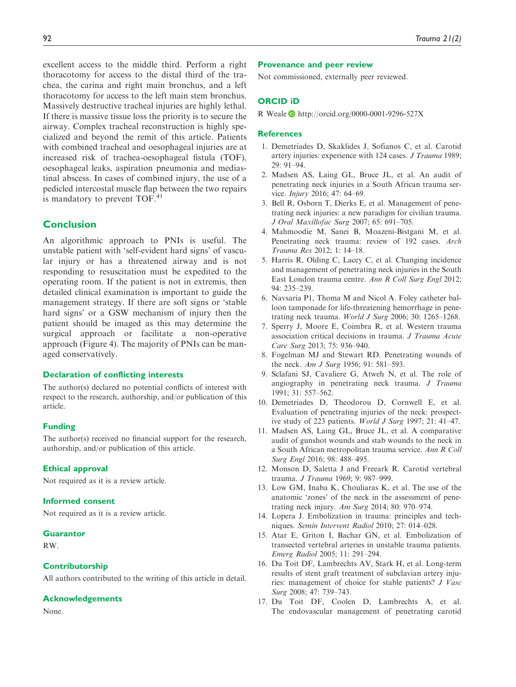excellent access to the middle third. Perform a right thoracotomy for access to the distal third of the trachea, the carina and right main bronchus, and a left thoracotomy for access to the left main stem bronchus. Massively destructive tracheal injuries are highly lethal. If there is massive tissue loss the priority is to secure the airway. Complex tracheal reconstruction is highly specialized and beyond the remit of this article. Patients with combined tracheal and oesophageal injuries are at increased risk of trachea-oesophageal fistula (TOF), oesophageal leaks, aspiration pneumonia and mediastinal abscess. In cases of combined injury, the use of a pedicled intercostal muscle flap between the two repairs is mandatory to prevent  $TOF<sup>41</sup>$ 

## **Conclusion**

An algorithmic approach to PNIs is useful. The unstable patient with 'self-evident hard signs' of vascular injury or has a threatened airway and is not responding to resuscitation must be expedited to the operating room. If the patient is not in extremis, then detailed clinical examination is important to guide the management strategy. If there are soft signs or 'stable hard signs' or a GSW mechanism of injury then the patient should be imaged as this may determine the surgical approach or facilitate a non-operative approach (Figure 4). The majority of PNIs can be managed conservatively.

### Declaration of conflicting interests

The author(s) declared no potential conflicts of interest with respect to the research, authorship, and/or publication of this article.

### Funding

The author(s) received no financial support for the research, authorship, and/or publication of this article.

### Ethical approval

Not required as it is a review article.

### Informed consent

Not required as it is a review article.

### **Guarantor**

RW.

#### Contributorship

All authors contributed to the writing of this article in detail.

### Acknowledgements

None.

#### Provenance and peer review

Not commissioned, externally peer reviewed.

### ORCID iD

R Weale <http://orcid.org/0000-0001-9296-527X>

#### **References**

- 1. Demetriades D, Skaklides J, Sofianos C, et al. Carotid artery injuries: experience with 124 cases. J Trauma 1989; 29: 91–94.
- 2. Madsen AS, Laing GL, Bruce JL, et al. An audit of penetrating neck injuries in a South African trauma service. Injury 2016; 47: 64–69.
- 3. Bell R, Osborn T, Dierks E, et al. Management of penetrating neck injuries: a new paradigm for civilian trauma. J Oral Maxillofac Surg 2007; 65: 691–705.
- 4. Mahmoodie M, Sanei B, Moazeni-Bistgani M, et al. Penetrating neck trauma: review of 192 cases. Arch Trauma Res 2012; 1: 14–18.
- 5. Harris R, Olding C, Lacey C, et al. Changing incidence and management of penetrating neck injuries in the South East London trauma centre. Ann R Coll Surg Engl 2012; 94: 235–239.
- 6. Navsaria P1, Thoma M and Nicol A. Foley catheter balloon tamponade for life-threatening hemorrhage in penetrating neck trauma. World J Surg 2006; 30: 1265–1268.
- 7. Sperry J, Moore E, Coimbra R, et al. Western trauma association critical decisions in trauma. J Trauma Acute Care Surg 2013; 75: 936–940.
- 8. Fogelman MJ and Stewart RD. Penetrating wounds of the neck. Am J Surg 1956; 91: 581–593.
- 9. Sclafani SJ, Cavaliere G, Atweh N, et al. The role of angiography in penetrating neck trauma. J Trauma 1991; 31: 557–562.
- 10. Demetriades D, Theodorou D, Cornwell E, et al. Evaluation of penetrating injuries of the neck: prospective study of 223 patients. World J Surg 1997; 21: 41–47.
- 11. Madsen AS, Laing GL, Bruce JL, et al. A comparative audit of gunshot wounds and stab wounds to the neck in a South African metropolitan trauma service. Ann R Coll Surg Engl 2016; 98: 488–495.
- 12. Monson D, Saletta J and Freeark R. Carotid vertebral trauma. J Trauma 1969; 9: 987–999.
- 13. Low GM, Inaba K, Chouliaras K, et al. The use of the anatomic 'zones' of the neck in the assessment of penetrating neck injury. Am Surg 2014; 80: 970–974.
- 14. Lopera J. Embolization in trauma: principles and techniques. Semin Intervent Radiol 2010; 27: 014–028.
- 15. Atar E, Griton I, Bachar GN, et al. Embolization of transected vertebral arteries in unstable trauma patients. Emerg Radiol 2005; 11: 291–294.
- 16. Du Toit DF, Lambrechts AV, Stark H, et al. Long-term results of stent graft treatment of subclavian artery injuries: management of choice for stable patients? J Vasc Surg 2008; 47: 739–743.
- 17. Du Toit DF, Coolen D, Lambrechts A, et al. The endovascular management of penetrating carotid